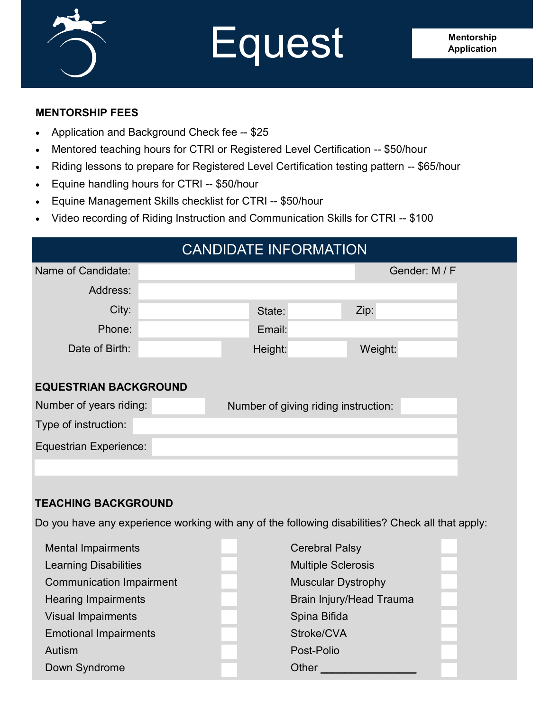

# **Equest** Mentorship

### **MENTORSHIP FEES**

- Application and Background Check fee -- \$25
- Mentored teaching hours for CTRI or Registered Level Certification -- \$50/hour
- Riding lessons to prepare for Registered Level Certification testing pattern -- \$65/hour
- Equine handling hours for CTRI -- \$50/hour
- Equine Management Skills checklist for CTRI -- \$50/hour
- Video recording of Riding Instruction and Communication Skills for CTRI -- \$100

# CANDIDATE INFORMATION Name of Candidate: Gender: M / F Address: City: Phone: Date of Birth: **EQUESTRIAN BACKGROUND** State: Email: Zip: Height: Weight: Number of years riding: Number of giving riding instruction: Type of instruction:

Equestrian Experience:

### **TEACHING BACKGROUND**

Do you have any experience working with any of the following disabilities? Check all that apply:

| <b>Mental Impairments</b>       | <b>Cerebral Palsy</b>           |  |  |
|---------------------------------|---------------------------------|--|--|
| <b>Learning Disabilities</b>    | <b>Multiple Sclerosis</b>       |  |  |
| <b>Communication Impairment</b> | <b>Muscular Dystrophy</b>       |  |  |
| <b>Hearing Impairments</b>      | <b>Brain Injury/Head Trauma</b> |  |  |
| <b>Visual Impairments</b>       | Spina Bifida                    |  |  |
| <b>Emotional Impairments</b>    | Stroke/CVA                      |  |  |
| Autism                          | Post-Polio                      |  |  |
| Down Syndrome                   | Other                           |  |  |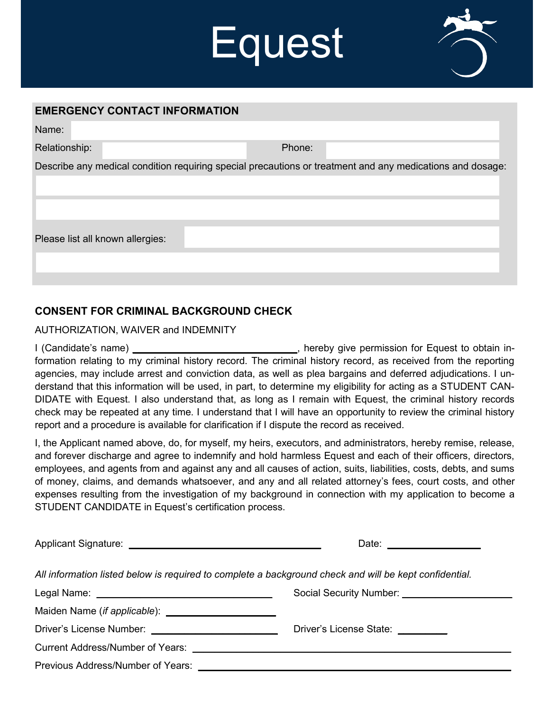# Equest



#### **EMERGENCY CONTACT INFORMATION**

| Name:                            |        |                                                                                                           |
|----------------------------------|--------|-----------------------------------------------------------------------------------------------------------|
| Relationship:                    | Phone: |                                                                                                           |
|                                  |        | Describe any medical condition requiring special precautions or treatment and any medications and dosage: |
|                                  |        |                                                                                                           |
| Please list all known allergies: |        |                                                                                                           |
|                                  |        |                                                                                                           |

## **CONSENT FOR CRIMINAL BACKGROUND CHECK**

#### AUTHORIZATION, WAIVER and INDEMNITY

I (Candidate's name) **\_\_\_\_\_\_\_\_\_\_\_\_\_\_\_\_\_\_\_\_\_\_\_\_\_\_\_\_\_\_**, hereby give permission for Equest to obtain information relating to my criminal history record. The criminal history record, as received from the reporting agencies, may include arrest and conviction data, as well as plea bargains and deferred adjudications. I understand that this information will be used, in part, to determine my eligibility for acting as a STUDENT CAN-DIDATE with Equest. I also understand that, as long as I remain with Equest, the criminal history records check may be repeated at any time. I understand that I will have an opportunity to review the criminal history report and a procedure is available for clarification if I dispute the record as received.

I, the Applicant named above, do, for myself, my heirs, executors, and administrators, hereby remise, release, and forever discharge and agree to indemnify and hold harmless Equest and each of their officers, directors, employees, and agents from and against any and all causes of action, suits, liabilities, costs, debts, and sums of money, claims, and demands whatsoever, and any and all related attorney's fees, court costs, and other expenses resulting from the investigation of my background in connection with my application to become a STUDENT CANDIDATE in Equest's certification process.

|                                   | Date: __________________                                                                               |  |  |
|-----------------------------------|--------------------------------------------------------------------------------------------------------|--|--|
|                                   | All information listed below is required to complete a background check and will be kept confidential. |  |  |
|                                   |                                                                                                        |  |  |
|                                   |                                                                                                        |  |  |
|                                   | Driver's License State: _________                                                                      |  |  |
|                                   |                                                                                                        |  |  |
| Previous Address/Number of Years: |                                                                                                        |  |  |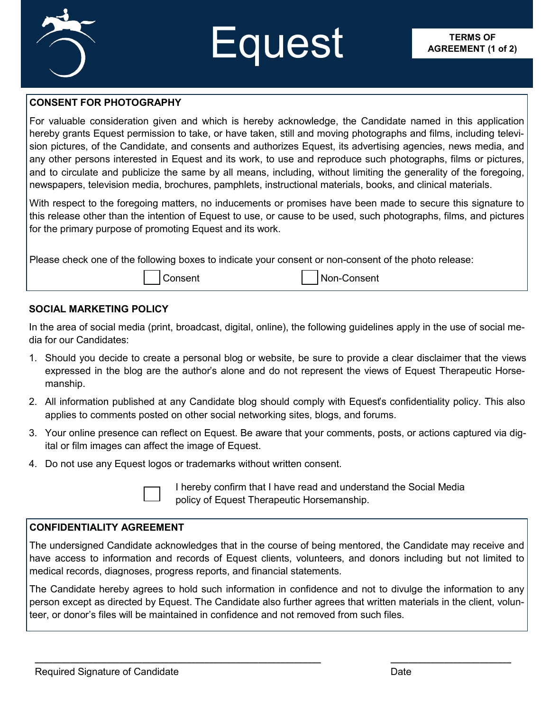

# **Equest** AGREEMENT (1

#### **CONSENT FOR PHOTOGRAPHY**

For valuable consideration given and which is hereby acknowledge, the Candidate named in this application hereby grants Equest permission to take, or have taken, still and moving photographs and films, including television pictures, of the Candidate, and consents and authorizes Equest, its advertising agencies, news media, and any other persons interested in Equest and its work, to use and reproduce such photographs, films or pictures, and to circulate and publicize the same by all means, including, without limiting the generality of the foregoing, newspapers, television media, brochures, pamphlets, instructional materials, books, and clinical materials.

With respect to the foregoing matters, no inducements or promises have been made to secure this signature to this release other than the intention of Equest to use, or cause to be used, such photographs, films, and pictures for the primary purpose of promoting Equest and its work.

Please check one of the following boxes to indicate your consent or non-consent of the photo release:

Consent Non-Consent

#### **SOCIAL MARKETING POLICY**

In the area of social media (print, broadcast, digital, online), the following guidelines apply in the use of social media for our Candidates:

- 1. Should you decide to create a personal blog or website, be sure to provide a clear disclaimer that the views expressed in the blog are the author's alone and do not represent the views of Equest Therapeutic Horsemanship.
- 2. All information published at any Candidate blog should comply with Equest's confidentiality policy. This also applies to comments posted on other social networking sites, blogs, and forums.
- 3. Your online presence can reflect on Equest. Be aware that your comments, posts, or actions captured via digital or film images can affect the image of Equest.
- 4. Do not use any Equest logos or trademarks without written consent.

I hereby confirm that I have read and understand the Social Media policy of Equest Therapeutic Horsemanship.

#### **CONFIDENTIALITY AGREEMENT**

The undersigned Candidate acknowledges that in the course of being mentored, the Candidate may receive and have access to information and records of Equest clients, volunteers, and donors including but not limited to medical records, diagnoses, progress reports, and financial statements.

The Candidate hereby agrees to hold such information in confidence and not to divulge the information to any person except as directed by Equest. The Candidate also further agrees that written materials in the client, volunteer, or donor's files will be maintained in confidence and not removed from such files.

**\_\_\_\_\_\_\_\_\_\_\_\_\_\_\_\_\_\_\_\_\_\_\_\_\_\_\_\_\_\_\_\_\_\_\_\_\_\_\_\_\_\_\_\_\_\_\_\_\_\_\_\_\_\_\_\_\_\_\_\_\_\_\_\_ \_\_\_\_\_\_\_\_\_\_\_\_\_\_\_\_\_\_\_\_\_\_\_\_\_\_\_**